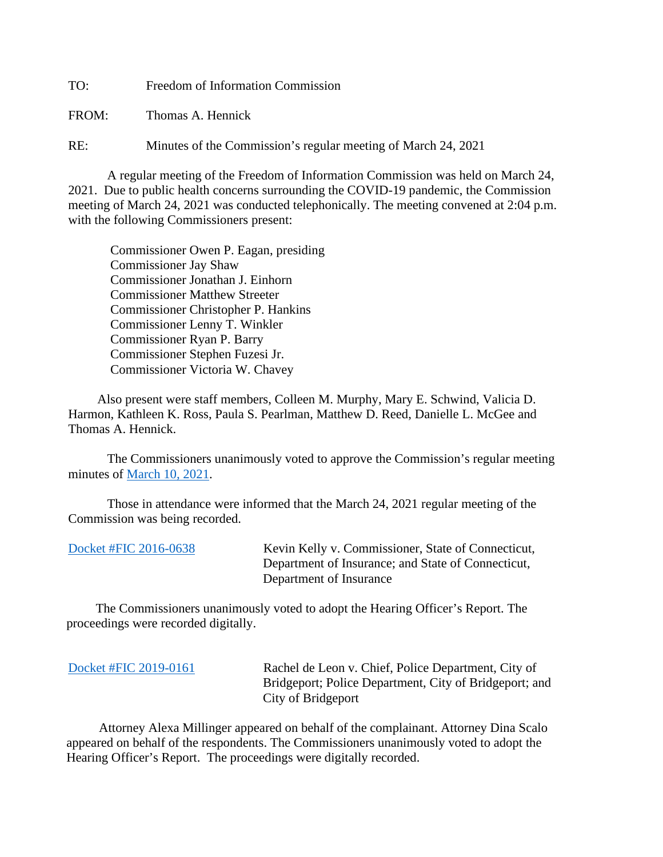TO: Freedom of Information Commission

FROM: Thomas A. Hennick

RE: Minutes of the Commission's regular meeting of March 24, 2021

A regular meeting of the Freedom of Information Commission was held on March 24, 2021. Due to public health concerns surrounding the COVID-19 pandemic, the Commission meeting of March 24, 2021 was conducted telephonically. The meeting convened at 2:04 p.m. with the following Commissioners present:

 Commissioner Owen P. Eagan, presiding Commissioner Jay Shaw Commissioner Jonathan J. Einhorn Commissioner Matthew Streeter Commissioner Christopher P. Hankins Commissioner Lenny T. Winkler Commissioner Ryan P. Barry Commissioner Stephen Fuzesi Jr. Commissioner Victoria W. Chavey

 Also present were staff members, Colleen M. Murphy, Mary E. Schwind, Valicia D. Harmon, Kathleen K. Ross, Paula S. Pearlman, Matthew D. Reed, Danielle L. McGee and Thomas A. Hennick.

The Commissioners unanimously voted to approve the Commission's regular meeting minutes of [March 10, 2021.](https://portal.ct.gov/-/media/FOI/Minutes/2021/Minutes-3-10-2021b.pdf)

 Those in attendance were informed that the March 24, 2021 regular meeting of the Commission was being recorded.

[Docket #FIC 2016-0638](https://portal.ct.gov/-/media/FOI/FinalDecisions/2021/Mar24/2016-0638R.pdf) Kevin Kelly v. Commissioner, State of Connecticut, Department of Insurance; and State of Connecticut, Department of Insurance

 The Commissioners unanimously voted to adopt the Hearing Officer's Report. The proceedings were recorded digitally.

[Docket #FIC 2019-0161](https://portal.ct.gov/-/media/FOI/FinalDecisions/2021/Mar24/2019-0161R.pdf) Rachel de Leon v. Chief, Police Department, City of Bridgeport; Police Department, City of Bridgeport; and City of Bridgeport

 Attorney Alexa Millinger appeared on behalf of the complainant. Attorney Dina Scalo appeared on behalf of the respondents. The Commissioners unanimously voted to adopt the Hearing Officer's Report. The proceedings were digitally recorded.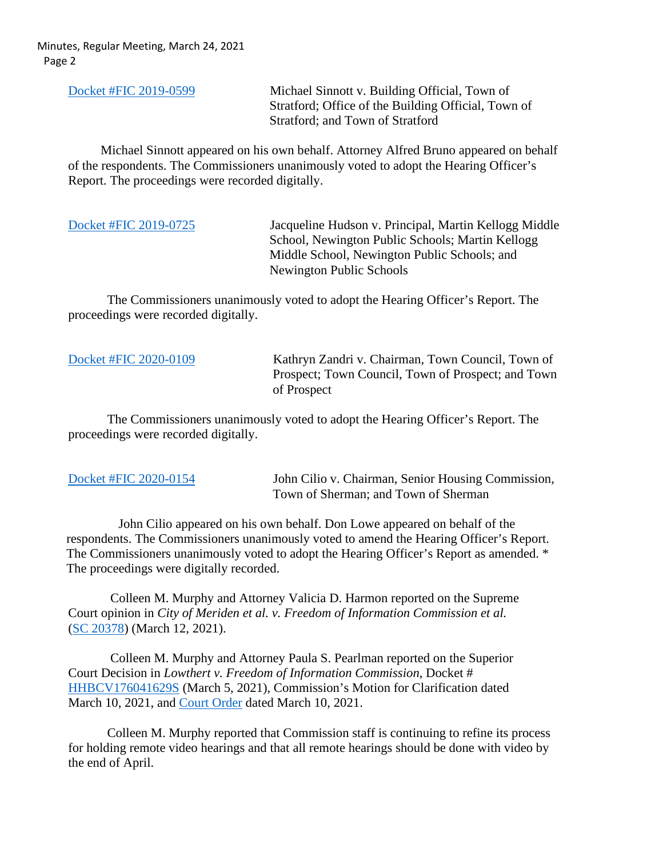[Docket #FIC 2019-0599](https://portal.ct.gov/-/media/FOI/FinalDecisions/2021/Mar24/2019-0599.pdf) Michael Sinnott v. Building Official, Town of Stratford; Office of the Building Official, Town of Stratford; and Town of Stratford

 Michael Sinnott appeared on his own behalf. Attorney Alfred Bruno appeared on behalf of the respondents. The Commissioners unanimously voted to adopt the Hearing Officer's Report. The proceedings were recorded digitally.

[Docket #FIC 2019-0725](https://portal.ct.gov/-/media/FOI/FinalDecisions/2021/Mar24/2019-0725.pdf) Jacqueline Hudson v. Principal, Martin Kellogg Middle School, Newington Public Schools; Martin Kellogg Middle School, Newington Public Schools; and Newington Public Schools

 The Commissioners unanimously voted to adopt the Hearing Officer's Report. The proceedings were recorded digitally.

[Docket #FIC 2020-0109](https://portal.ct.gov/-/media/FOI/FinalDecisions/2021/Mar24/2020-0109.pdf) Kathryn Zandri v. Chairman, Town Council, Town of Prospect; Town Council, Town of Prospect; and Town of Prospect

 The Commissioners unanimously voted to adopt the Hearing Officer's Report. The proceedings were recorded digitally.

[Docket #FIC 2020-0154](https://portal.ct.gov/-/media/FOI/FinalDecisions/2021/Mar24/2020-0154.pdf) John Cilio v. Chairman, Senior Housing Commission, Town of Sherman; and Town of Sherman

 John Cilio appeared on his own behalf. Don Lowe appeared on behalf of the respondents. The Commissioners unanimously voted to amend the Hearing Officer's Report. The Commissioners unanimously voted to adopt the Hearing Officer's Report as amended. \* The proceedings were digitally recorded.

 Colleen M. Murphy and Attorney Valicia D. Harmon reported on the Supreme Court opinion in *City of Meriden et al. v. Freedom of Information Commission et al.*  [\(SC 20378\)](https://portal.ct.gov/-/media/FOI/CourtDecisions/CD2021/Meriden-v-FOIC-Supreme-CT-3-12-21.pdf) (March 12, 2021).

 Colleen M. Murphy and Attorney Paula S. Pearlman reported on the Superior Court Decision in *Lowthert v. Freedom of Information Commission*, Docket # [HHBCV176041629S](http://civilinquiry.jud.ct.gov/DocumentInquiry/DocumentInquiry.aspx?DocumentNo=20342113) (March 5, 2021), Commission's Motion for Clarification dated March 10, 2021, and [Court Order](http://civilinquiry.jud.ct.gov/DocumentInquiry/DocumentInquiry.aspx?DocumentNo=20367366) dated March 10, 2021.

Colleen M. Murphy reported that Commission staff is continuing to refine its process for holding remote video hearings and that all remote hearings should be done with video by the end of April.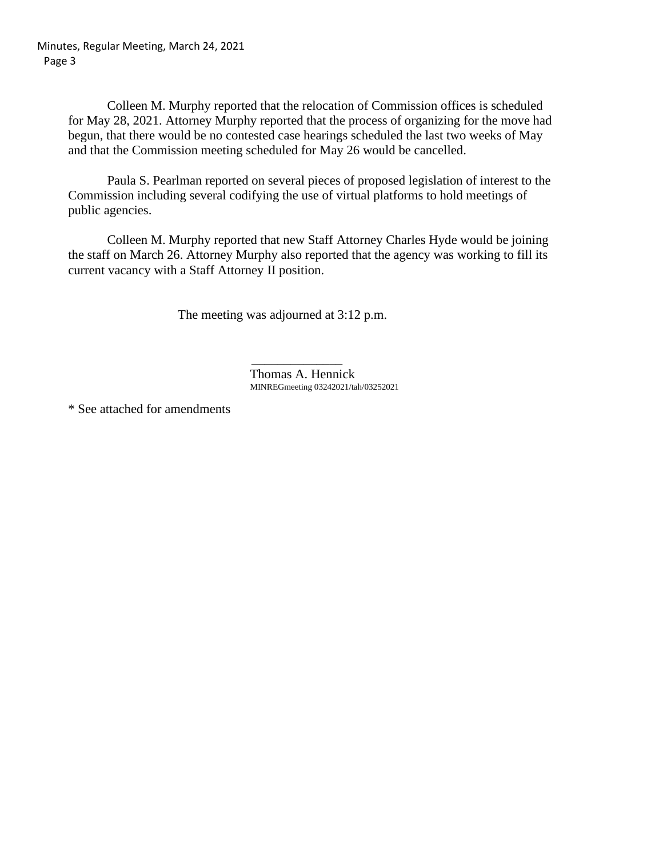Colleen M. Murphy reported that the relocation of Commission offices is scheduled for May 28, 2021. Attorney Murphy reported that the process of organizing for the move had begun, that there would be no contested case hearings scheduled the last two weeks of May and that the Commission meeting scheduled for May 26 would be cancelled.

Paula S. Pearlman reported on several pieces of proposed legislation of interest to the Commission including several codifying the use of virtual platforms to hold meetings of public agencies.

Colleen M. Murphy reported that new Staff Attorney Charles Hyde would be joining the staff on March 26. Attorney Murphy also reported that the agency was working to fill its current vacancy with a Staff Attorney II position.

The meeting was adjourned at 3:12 p.m.

Thomas A. Hennick MINREGmeeting 03242021/tah/03252021

\* See attached for amendments

 $\mathcal{L}_\text{max}$  and  $\mathcal{L}_\text{max}$  and  $\mathcal{L}_\text{max}$  and  $\mathcal{L}_\text{max}$